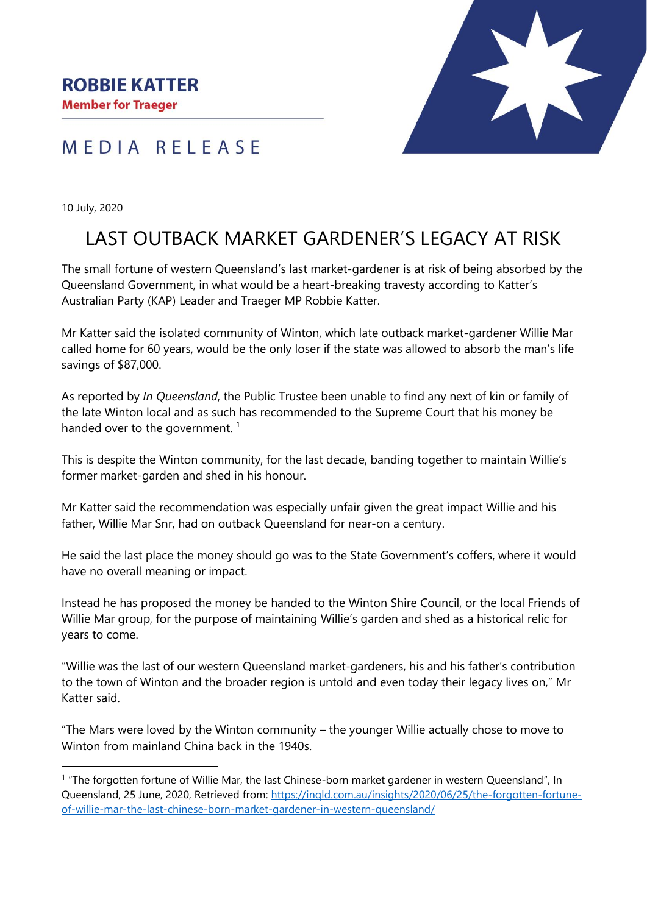



10 July, 2020

## LAST OUTBACK MARKET GARDENER'S LEGACY AT RISK

The small fortune of western Queensland's last market-gardener is at risk of being absorbed by the Queensland Government, in what would be a heart-breaking travesty according to Katter's Australian Party (KAP) Leader and Traeger MP Robbie Katter.

Mr Katter said the isolated community of Winton, which late outback market-gardener Willie Mar called home for 60 years, would be the only loser if the state was allowed to absorb the man's life savings of \$87,000.

As reported by *In Queensland*, the Public Trustee been unable to find any next of kin or family of the late Winton local and as such has recommended to the Supreme Court that his money be handed over to the government.  $1$ 

This is despite the Winton community, for the last decade, banding together to maintain Willie's former market-garden and shed in his honour.

Mr Katter said the recommendation was especially unfair given the great impact Willie and his father, Willie Mar Snr, had on outback Queensland for near-on a century.

He said the last place the money should go was to the State Government's coffers, where it would have no overall meaning or impact.

Instead he has proposed the money be handed to the Winton Shire Council, or the local Friends of Willie Mar group, for the purpose of maintaining Willie's garden and shed as a historical relic for years to come.

"Willie was the last of our western Queensland market-gardeners, his and his father's contribution to the town of Winton and the broader region is untold and even today their legacy lives on," Mr Katter said.

"The Mars were loved by the Winton community – the younger Willie actually chose to move to Winton from mainland China back in the 1940s.

<sup>1</sup> "The forgotten fortune of Willie Mar, the last Chinese-born market gardener in western Queensland", In Queensland, 25 June, 2020, Retrieved from: [https://inqld.com.au/insights/2020/06/25/the-forgotten-fortune](https://inqld.com.au/insights/2020/06/25/the-forgotten-fortune-of-willie-mar-the-last-chinese-born-market-gardener-in-western-queensland/)[of-willie-mar-the-last-chinese-born-market-gardener-in-western-queensland/](https://inqld.com.au/insights/2020/06/25/the-forgotten-fortune-of-willie-mar-the-last-chinese-born-market-gardener-in-western-queensland/)